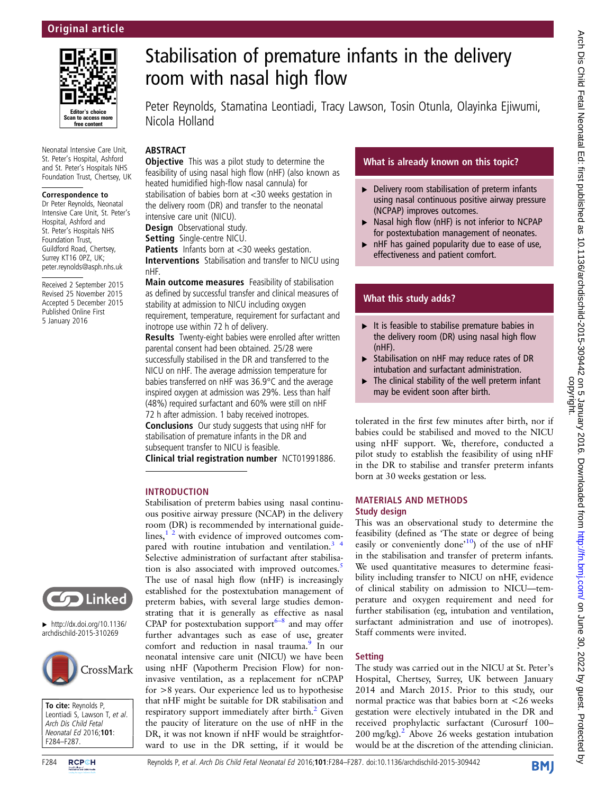

Neonatal Intensive Care Unit, St. Peter's Hospital, Ashford and St. Peter's Hospitals NHS Foundation Trust, Chertsey, UK

#### Correspondence to

Dr Peter Reynolds, Neonatal Intensive Care Unit, St. Peter's Hospital, Ashford and St. Peter's Hospitals NHS Foundation Trust, Guildford Road, Chertsey, Surrey KT16 0PZ, UK; peter.reynolds@asph.nhs.uk

Received 2 September 2015 Revised 25 November 2015 Accepted 5 December 2015 Published Online First 5 January 2016

# Stabilisation of premature infants in the delivery room with nasal high flow

Peter Reynolds, Stamatina Leontiadi, Tracy Lawson, Tosin Otunla, Olayinka Ejiwumi, Nicola Holland

# ABSTRACT

**Objective** This was a pilot study to determine the feasibility of using nasal high flow (nHF) (also known as heated humidified high-flow nasal cannula) for stabilisation of babies born at <30 weeks gestation in the delivery room (DR) and transfer to the neonatal intensive care unit (NICU).

**Design** Observational study.

Setting Single-centre NICU.

Patients Infants born at <30 weeks gestation. Interventions Stabilisation and transfer to NICU using nHF.

Main outcome measures Feasibility of stabilisation as defined by successful transfer and clinical measures of stability at admission to NICU including oxygen requirement, temperature, requirement for surfactant and inotrope use within 72 h of delivery.

Results Twenty-eight babies were enrolled after written parental consent had been obtained. 25/28 were successfully stabilised in the DR and transferred to the NICU on nHF. The average admission temperature for babies transferred on nHF was 36.9°C and the average inspired oxygen at admission was 29%. Less than half (48%) required surfactant and 60% were still on nHF 72 h after admission. 1 baby received inotropes.

Conclusions Our study suggests that using nHF for stabilisation of premature infants in the DR and subsequent transfer to NICU is feasible.

Clinical trial registration number NCT01991886.

Stabilisation of preterm babies using nasal continuous positive airway pressure (NCAP) in the delivery

## INTRODUCTION

room (DR) is recommended by international guidelines, $1<sup>2</sup>$  with evidence of improved outcomes compared with routine intubation and ventilation.<sup>3</sup> Selective administration of surfactant after stabilisa-tion is also associated with improved outcomes.<sup>[5](#page-3-0)</sup> The use of nasal high flow (nHF) is increasingly established for the postextubation management of preterm babies, with several large studies demonstrating that it is generally as effective as nasal CPAP for postextubation support $6-8$  $6-8$  and may offer further advantages such as ease of use, greater comfort and reduction in nasal trauma.<sup>[9](#page-3-0)</sup> In our neonatal intensive care unit (NICU) we have been using nHF (Vapotherm Precision Flow) for noninvasive ventilation, as a replacement for nCPAP for >8 years. Our experience led us to hypothesise that nHF might be suitable for DR stabilisation and respiratory support immediately after birth.<sup>[2](#page-3-0)</sup> Given the paucity of literature on the use of nHF in the DR, it was not known if nHF would be straightforward to use in the DR setting, if it would be

# What is already known on this topic?

- $\blacktriangleright$  Delivery room stabilisation of preterm infants using nasal continuous positive airway pressure (NCPAP) improves outcomes.
- ▶ Nasal high flow (nHF) is not inferior to NCPAP for postextubation management of neonates.
- $\triangleright$  nHF has gained popularity due to ease of use, effectiveness and patient comfort.

# What this study adds?

- $\blacktriangleright$  It is feasible to stabilise premature babies in the delivery room (DR) using nasal high flow (nHF).
- ▸ Stabilisation on nHF may reduce rates of DR intubation and surfactant administration.
- $\blacktriangleright$  The clinical stability of the well preterm infant may be evident soon after birth.

tolerated in the first few minutes after birth, nor if babies could be stabilised and moved to the NICU using nHF support. We, therefore, conducted a pilot study to establish the feasibility of using nHF in the DR to stabilise and transfer preterm infants born at 30 weeks gestation or less.

## MATERIALS AND METHODS Study design

This was an observational study to determine the feasibility (defined as 'The state or degree of being easily or conveniently done'<sup>[10](#page-3-0)</sup>) of the use of nHF in the stabilisation and transfer of preterm infants. We used quantitative measures to determine feasibility including transfer to NICU on nHF, evidence of clinical stability on admission to NICU—temperature and oxygen requirement and need for further stabilisation (eg, intubation and ventilation, surfactant administration and use of inotropes). Staff comments were invited.

# **Setting**

The study was carried out in the NICU at St. Peter's Hospital, Chertsey, Surrey, UK between January 2014 and March 2015. Prior to this study, our normal practice was that babies born at <26 weeks gestation were electively intubated in the DR and received prophylactic surfactant (Curosurf 100–  $200 \text{ mg/kg}$  $200 \text{ mg/kg}$ .<sup>2</sup> Above 26 weeks gestation intubation would be at the discretion of the attending clinician.



 $\blacktriangleright$  [http://dx.doi.org/10.1136/](http://dx.doi.org/10.1136/archdischild-2015-310269) [archdischild-2015-310269](http://dx.doi.org/10.1136/archdischild-2015-310269)



To cite: Reynolds P, Leontiadi S, Lawson T, et al. Arch Dis Child Fetal Neonatal Ed 2016;101: F284–F287.

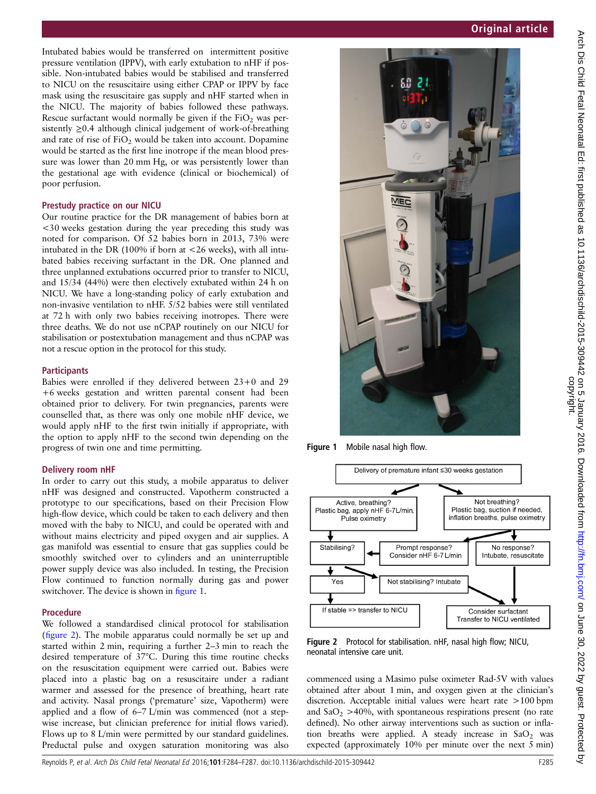Intubated babies would be transferred on intermittent positive pressure ventilation (IPPV), with early extubation to nHF if possible. Non-intubated babies would be stabilised and transferred to NICU on the resuscitaire using either CPAP or IPPV by face mask using the resuscitaire gas supply and nHF started when in the NICU. The majority of babies followed these pathways. Rescue surfactant would normally be given if the  $FiO<sub>2</sub>$  was persistently ≥0.4 although clinical judgement of work-of-breathing and rate of rise of  $FiO<sub>2</sub>$  would be taken into account. Dopamine would be started as the first line inotrope if the mean blood pressure was lower than 20 mm Hg, or was persistently lower than the gestational age with evidence (clinical or biochemical) of poor perfusion.

#### Prestudy practice on our NICU

Our routine practice for the DR management of babies born at <30 weeks gestation during the year preceding this study was noted for comparison. Of 52 babies born in 2013, 73% were intubated in the DR (100% if born at <26 weeks), with all intubated babies receiving surfactant in the DR. One planned and three unplanned extubations occurred prior to transfer to NICU, and 15/34 (44%) were then electively extubated within 24 h on NICU. We have a long-standing policy of early extubation and non-invasive ventilation to nHF. 5/52 babies were still ventilated at 72 h with only two babies receiving inotropes. There were three deaths. We do not use nCPAP routinely on our NICU for stabilisation or postextubation management and thus nCPAP was not a rescue option in the protocol for this study.

## **Participants**

Babies were enrolled if they delivered between 23+0 and 29 +6 weeks gestation and written parental consent had been obtained prior to delivery. For twin pregnancies, parents were counselled that, as there was only one mobile nHF device, we would apply nHF to the first twin initially if appropriate, with the option to apply nHF to the second twin depending on the progress of twin one and time permitting.

#### Delivery room nHF

In order to carry out this study, a mobile apparatus to deliver nHF was designed and constructed. Vapotherm constructed a prototype to our specifications, based on their Precision Flow high-flow device, which could be taken to each delivery and then moved with the baby to NICU, and could be operated with and without mains electricity and piped oxygen and air supplies. A gas manifold was essential to ensure that gas supplies could be smoothly switched over to cylinders and an uninterruptible power supply device was also included. In testing, the Precision Flow continued to function normally during gas and power switchover. The device is shown in figure 1.

#### Procedure

We followed a standardised clinical protocol for stabilisation (figure 2). The mobile apparatus could normally be set up and started within 2 min, requiring a further 2–3 min to reach the desired temperature of 37°C. During this time routine checks on the resuscitation equipment were carried out. Babies were placed into a plastic bag on a resuscitaire under a radiant warmer and assessed for the presence of breathing, heart rate and activity. Nasal prongs ('premature' size, Vapotherm) were applied and a flow of 6–7 L/min was commenced (not a stepwise increase, but clinician preference for initial flows varied). Flows up to 8 L/min were permitted by our standard guidelines. Preductal pulse and oxygen saturation monitoring was also

# Original article



Figure 1 Mobile nasal high flow.



Figure 2 Protocol for stabilisation. nHF, nasal high flow; NICU, neonatal intensive care unit.

commenced using a Masimo pulse oximeter Rad-5V with values obtained after about 1 min, and oxygen given at the clinician's discretion. Acceptable initial values were heart rate >100 bpm and  $SaO<sub>2</sub> > 40$ %, with spontaneous respirations present (no rate defined). No other airway interventions such as suction or inflation breaths were applied. A steady increase in  $SaO<sub>2</sub>$  was expected (approximately 10% per minute over the next 5 min)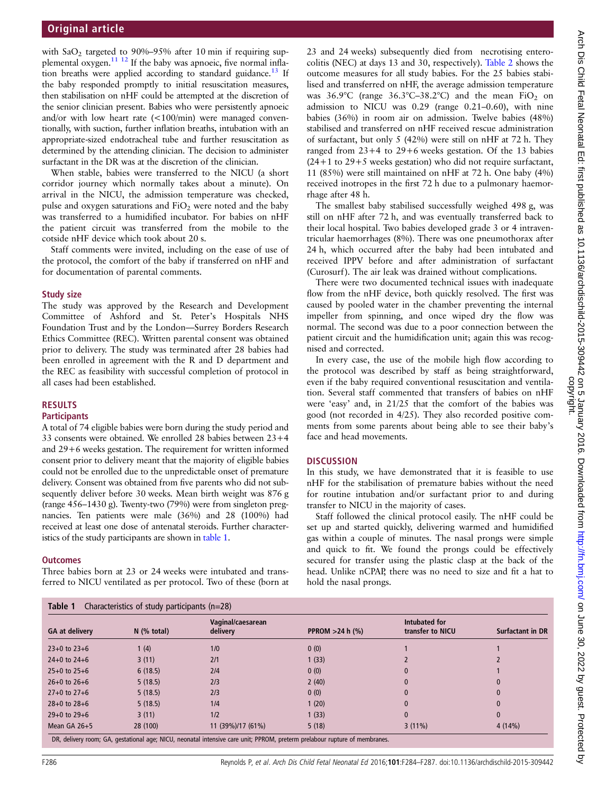with  $SaO<sub>2</sub>$  targeted to 90%–95% after 10 min if requiring sup-plemental oxygen.<sup>[11 12](#page-3-0)</sup> If the baby was apnoeic, five normal inflation breaths were applied according to standard guidance.<sup>13</sup> If the baby responded promptly to initial resuscitation measures, then stabilisation on nHF could be attempted at the discretion of the senior clinician present. Babies who were persistently apnoeic and/or with low heart rate (<100/min) were managed conventionally, with suction, further inflation breaths, intubation with an appropriate-sized endotracheal tube and further resuscitation as determined by the attending clinician. The decision to administer surfactant in the DR was at the discretion of the clinician.

When stable, babies were transferred to the NICU (a short corridor journey which normally takes about a minute). On arrival in the NICU, the admission temperature was checked, pulse and oxygen saturations and  $FiO<sub>2</sub>$  were noted and the baby was transferred to a humidified incubator. For babies on nHF the patient circuit was transferred from the mobile to the cotside nHF device which took about 20 s.

Staff comments were invited, including on the ease of use of the protocol, the comfort of the baby if transferred on nHF and for documentation of parental comments.

#### Study size

The study was approved by the Research and Development Committee of Ashford and St. Peter's Hospitals NHS Foundation Trust and by the London—Surrey Borders Research Ethics Committee (REC). Written parental consent was obtained prior to delivery. The study was terminated after 28 babies had been enrolled in agreement with the R and D department and the REC as feasibility with successful completion of protocol in all cases had been established.

#### RESULTS **Participants**

A total of 74 eligible babies were born during the study period and 33 consents were obtained. We enrolled 28 babies between 23+4 and 29+6 weeks gestation. The requirement for written informed consent prior to delivery meant that the majority of eligible babies could not be enrolled due to the unpredictable onset of premature delivery. Consent was obtained from five parents who did not subsequently deliver before 30 weeks. Mean birth weight was 876 g (range 456–1430 g). Twenty-two (79%) were from singleton pregnancies. Ten patients were male (36%) and 28 (100%) had received at least one dose of antenatal steroids. Further characteristics of the study participants are shown in table 1.

### **Outcomes**

Three babies born at 23 or 24 weeks were intubated and transferred to NICU ventilated as per protocol. Two of these (born at

23 and 24 weeks) subsequently died from necrotising enterocolitis (NEC) at days 13 and 30, respectively). [Table 2](#page-3-0) shows the outcome measures for all study babies. For the 25 babies stabilised and transferred on nHF, the average admission temperature was  $36.9^{\circ}$ C (range  $36.3^{\circ}$ C-38.2°C) and the mean FiO<sub>2</sub> on admission to NICU was 0.29 (range 0.21–0.60), with nine babies (36%) in room air on admission. Twelve babies (48%) stabilised and transferred on nHF received rescue administration of surfactant, but only 5 (42%) were still on nHF at 72 h. They ranged from  $23+4$  to  $29+6$  weeks gestation. Of the 13 babies  $(24+1)$  to  $29+5$  weeks gestation) who did not require surfactant, 11 (85%) were still maintained on nHF at 72 h. One baby (4%) received inotropes in the first 72 h due to a pulmonary haemorrhage after 48 h.

The smallest baby stabilised successfully weighed 498 g, was still on nHF after 72 h, and was eventually transferred back to their local hospital. Two babies developed grade 3 or 4 intraventricular haemorrhages (8%). There was one pneumothorax after 24 h, which occurred after the baby had been intubated and received IPPV before and after administration of surfactant (Curosurf). The air leak was drained without complications.

There were two documented technical issues with inadequate flow from the nHF device, both quickly resolved. The first was caused by pooled water in the chamber preventing the internal impeller from spinning, and once wiped dry the flow was normal. The second was due to a poor connection between the patient circuit and the humidification unit; again this was recognised and corrected.

In every case, the use of the mobile high flow according to the protocol was described by staff as being straightforward, even if the baby required conventional resuscitation and ventilation. Several staff commented that transfers of babies on nHF were 'easy' and, in 21/25 that the comfort of the babies was good (not recorded in 4/25). They also recorded positive comments from some parents about being able to see their baby's face and head movements.

## **DISCUSSION**

In this study, we have demonstrated that it is feasible to use nHF for the stabilisation of premature babies without the need for routine intubation and/or surfactant prior to and during transfer to NICU in the majority of cases.

Staff followed the clinical protocol easily. The nHF could be set up and started quickly, delivering warmed and humidified gas within a couple of minutes. The nasal prongs were simple and quick to fit. We found the prongs could be effectively secured for transfer using the plastic clasp at the back of the head. Unlike nCPAP, there was no need to size and fit a hat to hold the nasal prongs.

| <b>GA at delivery</b> | $N$ (% total) | Vaginal/caesarean<br>delivery | <b>PPROM</b> $>24$ h $\frac{6}{6}$ | Intubated for<br>transfer to NICU | <b>Surfactant in DR</b> |
|-----------------------|---------------|-------------------------------|------------------------------------|-----------------------------------|-------------------------|
|                       |               |                               |                                    |                                   |                         |
| $23+0$ to $23+6$      | 1(4)          | 1/0                           | 0(0)                               |                                   |                         |
| $24+0$ to $24+6$      | 3(11)         | 2/1                           | 1(33)                              |                                   |                         |
| $25+0$ to $25+6$      | 6(18.5)       | 2/4                           | 0(0)                               | $\mathbf{0}$                      |                         |
| $26+0$ to $26+6$      | 5(18.5)       | 2/3                           | 2(40)                              | 0                                 | $\mathbf{0}$            |
| $27+0$ to $27+6$      | 5(18.5)       | 2/3                           | 0(0)                               | $\mathbf{0}$                      | $\mathbf{0}$            |
| $28+0$ to $28+6$      | 5(18.5)       | 1/4                           | 1(20)                              | $\mathbf{0}$                      | $\mathbf{0}$            |
| $29+0$ to $29+6$      | 3(11)         | 1/2                           | 1(33)                              | $\mathbf{0}$                      | $\bf{0}$                |
| Mean $GA$ 26+5        | 28 (100)      | 11 (39%)/17 (61%)             | 5(18)                              | $3(11\%)$                         | 4(14%)                  |